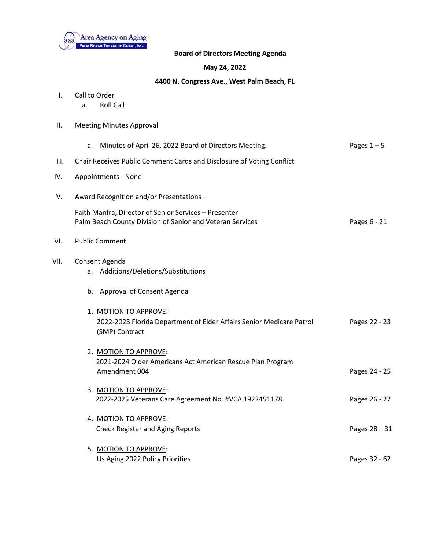

## **Board of Directors Meeting Agenda**

## **May 24, 2022**

## **4400 N. Congress Ave., West Palm Beach, FL**

- I. Call to Order
	- a. Roll Call
- II. Meeting Minutes Approval

|      | a. Minutes of April 26, 2022 Board of Directors Meeting.                                                           | Pages $1-5$   |
|------|--------------------------------------------------------------------------------------------------------------------|---------------|
| III. | Chair Receives Public Comment Cards and Disclosure of Voting Conflict                                              |               |
| IV.  | Appointments - None                                                                                                |               |
| V.   | Award Recognition and/or Presentations -                                                                           |               |
|      | Faith Manfra, Director of Senior Services - Presenter<br>Palm Beach County Division of Senior and Veteran Services | Pages 6 - 21  |
| VI.  | <b>Public Comment</b>                                                                                              |               |
| VII. | Consent Agenda<br>a. Additions/Deletions/Substitutions                                                             |               |
|      | b. Approval of Consent Agenda                                                                                      |               |
|      | 1. MOTION TO APPROVE:<br>2022-2023 Florida Department of Elder Affairs Senior Medicare Patrol<br>(SMP) Contract    | Pages 22 - 23 |
|      | 2. MOTION TO APPROVE:<br>2021-2024 Older Americans Act American Rescue Plan Program<br>Amendment 004               | Pages 24 - 25 |
|      | 3. MOTION TO APPROVE:<br>2022-2025 Veterans Care Agreement No. #VCA 1922451178                                     | Pages 26 - 27 |
|      | 4. MOTION TO APPROVE:<br><b>Check Register and Aging Reports</b>                                                   | Pages 28 - 31 |
|      | 5. MOTION TO APPROVE:<br>Us Aging 2022 Policy Priorities                                                           | Pages 32 - 62 |